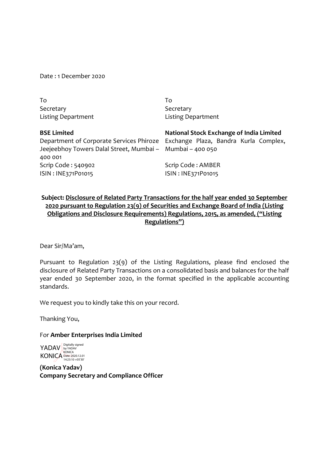Date : 1 December 2020

To **Secretary** Listing Department To Secretary Listing Department

| <b>BSE Limited</b>                                        | National Stock Exchange of India Limited                                       |  |  |
|-----------------------------------------------------------|--------------------------------------------------------------------------------|--|--|
|                                                           | Department of Corporate Services Phiroze Exchange Plaza, Bandra Kurla Complex, |  |  |
| Jeejeebhoy Towers Dalal Street, Mumbai - Mumbai - 400 050 |                                                                                |  |  |
| 400 001                                                   |                                                                                |  |  |
| Scrip Code: 540902                                        | Scrip Code: AMBER                                                              |  |  |
| ISIN: INE371P01015                                        | ISIN: INE371P01015                                                             |  |  |

# **Subject: Disclosure of Related Party Transactions for the half year ended 30 September 2020 pursuant to Regulation 23(9) of Securities and Exchange Board of India (Listing Obligations and Disclosure Requirements) Regulations, 2015, as amended, ("Listing Regulations")**

Dear Sir/Ma'am,

Pursuant to Regulation 23(9) of the Listing Regulations, please find enclosed the disclosure of Related Party Transactions on a consolidated basis and balances for the half year ended 30 September 2020, in the format specified in the applicable accounting standards.

We request you to kindly take this on your record.

Thanking You,

For **Amber Enterprises India Limited**

YADAV KONICA Digitally signed by YADAV KONICA Date: 2020.12.01 14:23:10 +05'30'

**(Konica Yadav) Company Secretary and Compliance Officer**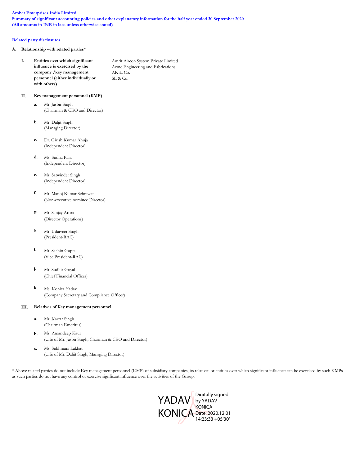### **Amber Enterprises India Limited**

**Summary of significant accounting policies and other explanatory information for the half year ended 30 September 2020 (All amounts in INR in lacs unless otherwise stated)**

### **Related party disclosures**

**A. Relationship with related parties\***

| Entities over which significant   | Amrit Aircon System Private Limited |
|-----------------------------------|-------------------------------------|
| influence is exercised by the     | Acme Engineering and Fabrications   |
| company / key management          | AK & Co.                            |
| personnel (either individually or | SL & Co.                            |
| with others)                      |                                     |

## **II. Key management personnel (KMP)**

- **a.** Mr. Jasbir Singh (Chairman & CEO and Director)
- **b.** Mr. Daljit Singh (Managing Director)
- **c.** Dr. Girish Kumar Ahuja (Independent Director)
- **d.** Ms. Sudha Pillai (Independent Director)
- **e.** Mr. Satwinder Singh (Independent Director)
- **f.** Mr. Manoj Kumar Sehrawat (Non-executive nominee Director)
- **g.** Mr. Sanjay Arora (Director Operations)
- h. Mr. Udaiveer Singh (President-RAC)
- **i.** Mr. Sachin Gupta (Vice President-RAC)
- **j.** Mr. Sudhir Goyal (Chief Financial Officer)
- **k.** Ms. Konica Yadav (Company Secretary and Compliance Officer)

### **III. Relatives of Key management personnel**

- **a.** Mr. Kartar Singh (Chairman Emeritus)
- **b.** Ms. Amandeep Kaur (wife of Mr. Jasbir Singh, Chairman & CEO and Director)
- **c.** Ms. Sukhmani Lakhat (wife of Mr. Daljit Singh, Managing Director)

\* Above related parties do not include Key management personnel (KMP) of subsidiary companies, its relatives or entities over which significant influence can be exercised by such KMPs as such parties do not have any control or exercise signficant influence over the activities of the Group.

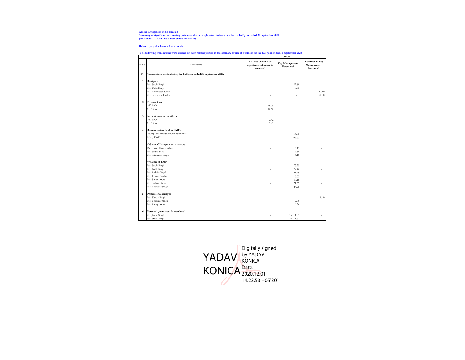**Amber Enterprises India Limited Summary of significant accounting policies and other explanatory information for the half year ended 30 September 2020 (All amount in INR lacs unless stated otherwise)**

**Related party disclosures (continued)**

| The following transactions were carried out with related parties in the ordinary course of business for the half year ended 30 September 2020 |  |  |         |
|-----------------------------------------------------------------------------------------------------------------------------------------------|--|--|---------|
|                                                                                                                                               |  |  | Console |

|                         |                                                                 |                                                              | Console                     |                                              |
|-------------------------|-----------------------------------------------------------------|--------------------------------------------------------------|-----------------------------|----------------------------------------------|
| S No.                   | Particulars                                                     | Entities over which<br>significant influence is<br>exercised | Key Management<br>Personnel | 'Relatives of Key<br>Management<br>Personnel |
| (A)                     | Transactions made during the half year ended 30 September 2020: |                                                              |                             |                                              |
| $\mathbf{1}$            | Rent paid                                                       |                                                              |                             |                                              |
|                         | Mr. Jasbir Singh                                                | ٠                                                            | 22.80                       |                                              |
|                         | Mr. Daljit Singh                                                | J.                                                           | 8.55                        | J.                                           |
|                         | Ms. Amandeep Kaur                                               | ä,                                                           | ×,                          | 17.10                                        |
|                         | Ms. Sukhmani Lakhat                                             | J.                                                           | ٠                           | 22.80                                        |
| $\overline{2}$          | <b>Finance Cost</b>                                             |                                                              |                             |                                              |
|                         | AK & Co.                                                        | 28.79                                                        | í.                          |                                              |
|                         | SL & Co.                                                        | 28.79                                                        | ٠                           |                                              |
| $\overline{\mathbf{3}}$ | Interest income on others                                       |                                                              |                             |                                              |
|                         | AK & Co.                                                        | 2.42                                                         | ÷                           |                                              |
|                         | SL & Co.                                                        | 2.42                                                         | í.                          |                                              |
| $\overline{4}$          | <b>Remuneration Paid to KMP's</b>                               |                                                              |                             |                                              |
|                         | Sitting fees to independent directors*                          | ä,                                                           | 13.05                       | ÷                                            |
|                         | Salary Paid**                                                   | J.                                                           | 253.53                      |                                              |
|                         | *Name of Independent directors                                  |                                                              |                             |                                              |
|                         | Dr. Girish Kumar Ahuja                                          |                                                              | 3.15                        |                                              |
|                         | Ms. Sudha Pillai                                                | ٠                                                            | 3.80                        |                                              |
|                         | Mr. Satwinder Singh                                             |                                                              | 6.10                        |                                              |
|                         | **Name of KMP                                                   |                                                              |                             |                                              |
|                         | Mr. Jasbir Singh                                                |                                                              | 75.75                       |                                              |
|                         | Mr. Daljit Singh                                                | ٠                                                            | 74.10                       |                                              |
|                         | Mr. Sudhir Goyal                                                |                                                              | 21.49                       |                                              |
|                         | Ms. Konica Yadav                                                | J.                                                           | 6.03                        | J.                                           |
|                         | Mr. Sanjay Arora                                                | J.                                                           | 30.18                       | J.                                           |
|                         | Mr. Sachin Gupta                                                |                                                              | 21.69                       |                                              |
|                         | Mr. Udaiveer Singh                                              | ٠                                                            | 24.28                       | ٠                                            |
| 5                       | Professional charges                                            |                                                              |                             |                                              |
|                         | Mr. Kartar Singh                                                | ä,                                                           | ä,                          | 8.40                                         |
|                         | Mr. Udaiveer Singh                                              | ٠                                                            | 2.00                        | ÷                                            |
|                         | Mr. Sanjay Arora                                                | J.                                                           | 16.56                       | ÷                                            |
| 6                       | Personal guarantees Surrendered                                 |                                                              |                             |                                              |
|                         | Mr. Jasbir Singh                                                |                                                              | 15,111.37                   |                                              |
|                         | Mr. Daljit Singh                                                | ٠                                                            | 8,111.37                    | ÷                                            |

Digitally signed YADAV by YADAV KONICA KONICA<sup>Date:</sup> 2020.12.01 14:23:53 +05'30'Ô